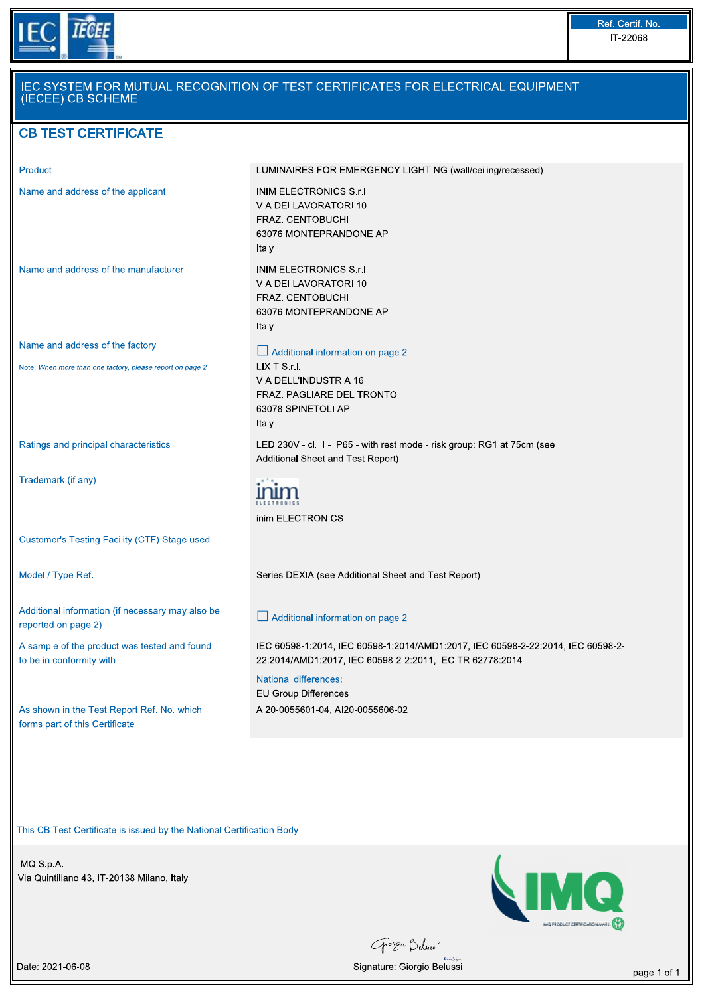

| Product                                                                                      | LUMINAIRES FOR EMERGENCY LIGHTING (wall/ceiling/recessed)                                                                                                                   |
|----------------------------------------------------------------------------------------------|-----------------------------------------------------------------------------------------------------------------------------------------------------------------------------|
| Name and address of the applicant                                                            | INIM ELECTRONICS S.r.I.<br>VIA DEI LAVORATORI 10<br>FRAZ. CENTOBUCHI<br>63076 MONTEPRANDONE AP<br>Italy                                                                     |
| Name and address of the manufacturer                                                         | INIM ELECTRONICS S.r.I.<br>VIA DEI LAVORATORI 10<br>FRAZ. CENTOBUCHI<br>63076 MONTEPRANDONE AP<br>Italy                                                                     |
| Name and address of the factory<br>Note: When more than one factory, please report on page 2 | $\Box$ Additional information on page 2<br>LIXIT S.r.I.<br>VIA DELL'INDUSTRIA 16<br>FRAZ. PAGLIARE DEL TRONTO<br>63078 SPINETOLI AP<br>Italy                                |
| Ratings and principal characteristics                                                        | LED 230V - cl. II - IP65 - with rest mode - risk group: RG1 at 75cm (see<br>Additional Sheet and Test Report)                                                               |
| Trademark (if any)                                                                           | inim ELECTRONICS                                                                                                                                                            |
| Customer's Testing Facility (CTF) Stage used                                                 |                                                                                                                                                                             |
| Model / Type Ref.                                                                            | Series DEXIA (see Additional Sheet and Test Report)                                                                                                                         |
| Additional information (if necessary may also be<br>reported on page 2)                      | $\perp$ Additional information on page 2                                                                                                                                    |
| A sample of the product was tested and found<br>to be in conformity with                     | IEC 60598-1:2014, IEC 60598-1:2014/AMD1:2017, IEC 60598-2-22:2014, IEC 60598-2-<br>22:2014/AMD1:2017, IEC 60598-2-2:2011, IEC TR 62778:2014<br><b>National differences:</b> |
| As shown in the Test Report Ref. No. which<br>forms part of this Certificate                 | <b>EU Group Differences</b><br>AI20-0055601-04, AI20-0055606-02                                                                                                             |

This CB Test Certificate is issued by the National Certification Body<br>
IMQ S.p.A.<br>
Via Quintiliano 43, IT-20138 Milano, Italy<br>
The Quintiliano 43, IT-20138 Milano, Italy



Gorgio Belussi